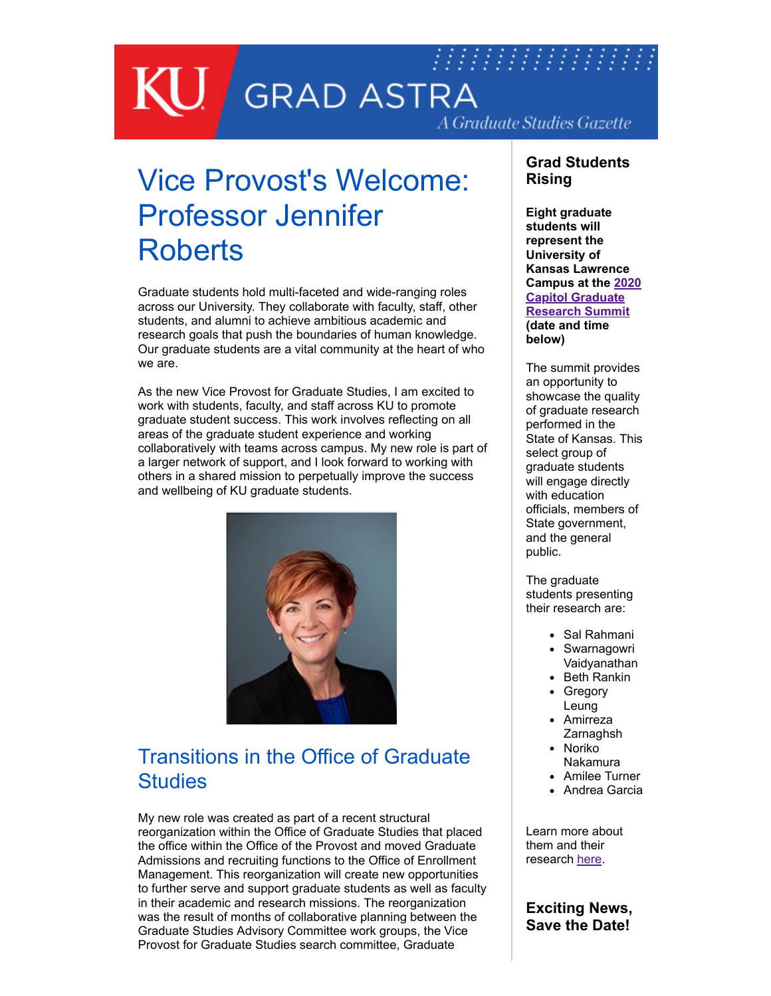## 77777777777777777  $\overline{\mathbb{U}}$  , **GRAD ASTRA** A Graduate Studies Gazette

# Vice Provost's Welcome: Professor Jennifer **Roberts**

Graduate students hold multi-faceted and wide-ranging roles across our University. They collaborate with faculty, staff, other students, and alumni to achieve ambitious academic and research goals that push the boundaries of human knowledge. Our graduate students are a vital community at the heart of who we are.

As the new Vice Provost for Graduate Studies, I am excited to work with students, faculty, and staff across KU to promote graduate student success. This work involves reflecting on all areas of the graduate student experience and working collaboratively with teams across campus. My new role is part of a larger network of support, and I look forward to working with others in a shared mission to perpetually improve the success and wellbeing of KU graduate students.



# Transitions in the Office of Graduate **Studies**

My new role was created as part of a recent structural reorganization within the Office of Graduate Studies that placed the office within the Office of the Provost and moved Graduate Admissions and recruiting functions to the Office of Enrollment Management. This reorganization will create new opportunities to further serve and support graduate students as well as faculty in their academic and research missions. The reorganization was the result of months of collaborative planning between the Graduate Studies Advisory Committee work groups, the Vice Provost for Graduate Studies search committee, Graduate

#### **Grad Students Rising**

**Eight graduate students will represent the University of Kansas Lawrence [Campus at the 2020](https://www.wichita.edu/academics/gradschool/cgrs/) Capitol Graduate Research Summit (date and time below)**

The summit provides an opportunity to showcase the quality of graduate research performed in the State of Kansas. This select group of graduate students will engage directly with education officials, members of State government, and the general public.

The graduate students presenting their research are:

- Sal Rahmani
- Swarnagowri Vaidyanathan
- Beth Rankin Gregory
- Leung
- Amirreza **Zarnaghsh** • Noriko
- Nakamura
- Amilee Turner
- Andrea Garcia

Learn more about them and their research [here](http://graduate.ku.edu/2020-cgrs-presenters).

### **Exciting News, Save the Date!**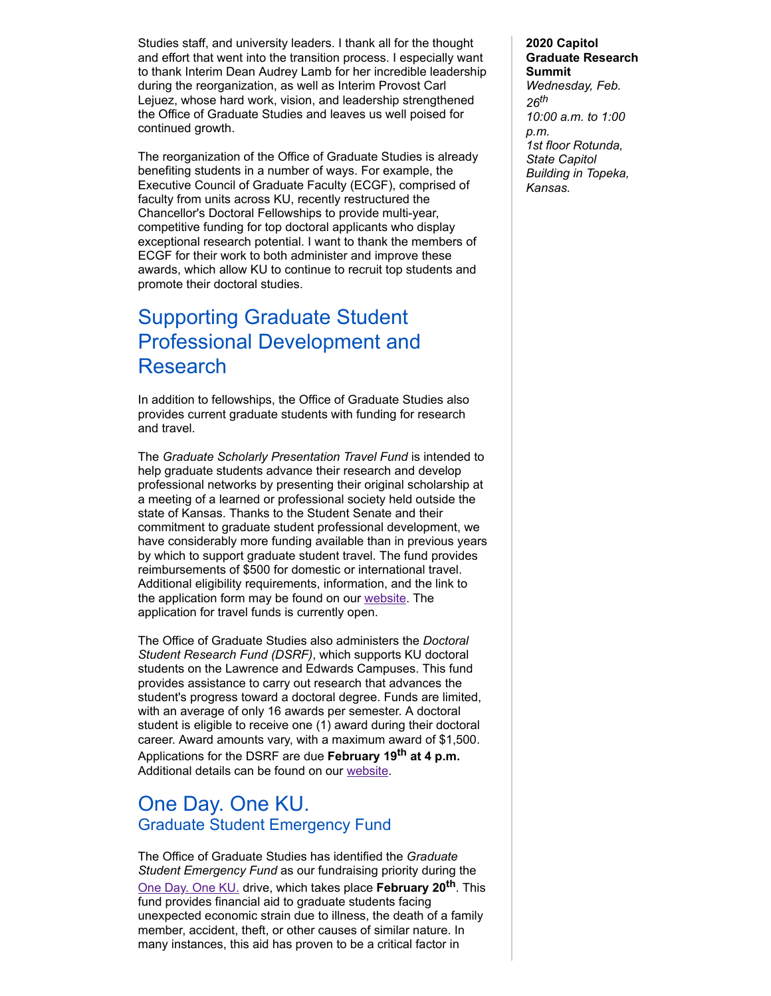Studies staff, and university leaders. I thank all for the thought and effort that went into the transition process. I especially want to thank Interim Dean Audrey Lamb for her incredible leadership during the reorganization, as well as Interim Provost Carl Lejuez, whose hard work, vision, and leadership strengthened the Office of Graduate Studies and leaves us well poised for continued growth.

The reorganization of the Office of Graduate Studies is already benefiting students in a number of ways. For example, the Executive Council of Graduate Faculty (ECGF), comprised of faculty from units across KU, recently restructured the Chancellor's Doctoral Fellowships to provide multi-year, competitive funding for top doctoral applicants who display exceptional research potential. I want to thank the members of ECGF for their work to both administer and improve these awards, which allow KU to continue to recruit top students and promote their doctoral studies.

## Supporting Graduate Student Professional Development and Research

In addition to fellowships, the Office of Graduate Studies also provides current graduate students with funding for research and travel.

The *Graduate Scholarly Presentation Travel Fund* is intended to help graduate students advance their research and develop professional networks by presenting their original scholarship at a meeting of a learned or professional society held outside the state of Kansas. Thanks to the Student Senate and their commitment to graduate student professional development, we have considerably more funding available than in previous years by which to support graduate student travel. The fund provides reimbursements of \$500 for domestic or international travel. Additional eligibility requirements, information, and the link to the application form may be found on our [website.](http://graduate.ku.edu/graduate-scholarly-presentation-travel-fund) The application for travel funds is currently open.

The Office of Graduate Studies also administers the *Doctoral Student Research Fund (DSRF)*, which supports KU doctoral students on the Lawrence and Edwards Campuses. This fund provides assistance to carry out research that advances the student's progress toward a doctoral degree. Funds are limited, with an average of only 16 awards per semester. A doctoral student is eligible to receive one (1) award during their doctoral career. Award amounts vary, with a maximum award of \$1,500. Applications for the DSRF are due **February 19th at 4 p.m.** Additional details can be found on our [website.](https://graduate.ku.edu/dsrf)

## One Day. One KU. Graduate Student Emergency Fund

The Office of Graduate Studies has identified the *Graduate Student Emergency Fund* as our fundraising priority during the [One Day. One KU.](https://kansas.scalefunder.com/gday/giving-day/18833/department/18862) drive, which takes place **February 20th** . This fund provides financial aid to graduate students facing unexpected economic strain due to illness, the death of a family member, accident, theft, or other causes of similar nature. In many instances, this aid has proven to be a critical factor in

#### **2020 Capitol Graduate Research Summit** *Wednesday, Feb. 26th 10:00 a.m. to 1:00 p.m. 1st floor Rotunda, State Capitol Building in Topeka, Kansas.*